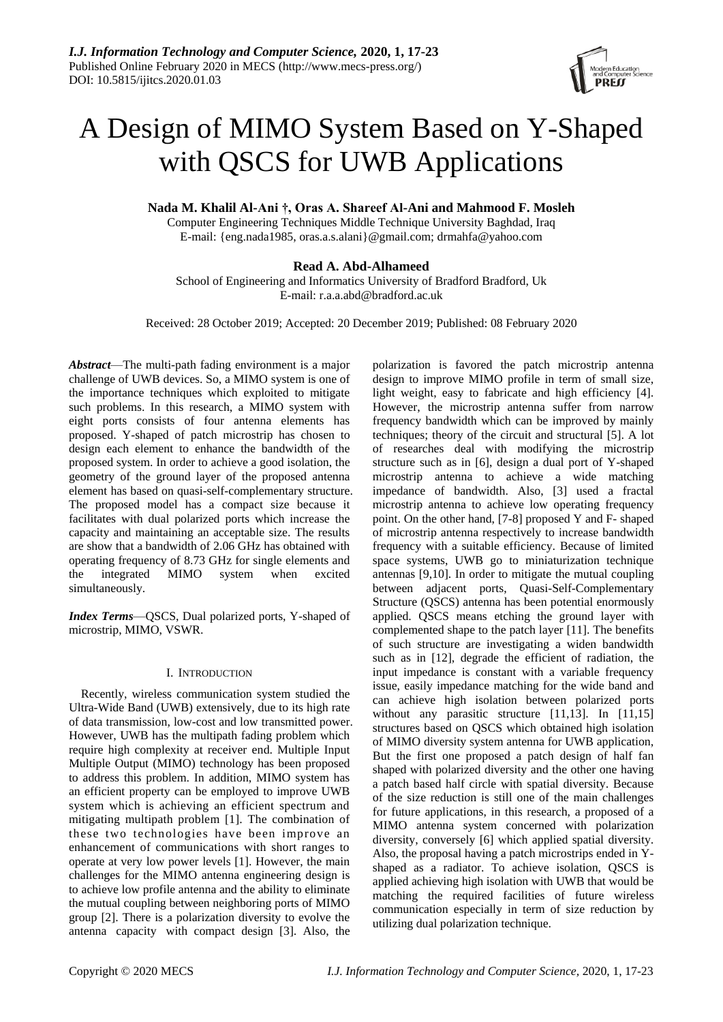

# A Design of MIMO System Based on Y-Shaped with QSCS for UWB Applications

**Nada M. Khalil Al-Ani †, Oras A. Shareef Al-Ani and Mahmood F. Mosleh**

Computer Engineering Techniques Middle Technique University Baghdad, Iraq E-mail: {eng.nada1985, oras.a.s.alan[i}@gmail.com;](mailto:%7d@gmail.com) drmahfa@yahoo.com

# **Read A. Abd-Alhameed**

School of Engineering and Informatics University of Bradford Bradford, Uk E-mail: [r.a.a.abd@bradford.ac.uk](mailto:r.a.a.abd@bradford.ac.uk)

Received: 28 October 2019; Accepted: 20 December 2019; Published: 08 February 2020

*Abstract*—The multi-path fading environment is a major challenge of UWB devices. So, a MIMO system is one of the importance techniques which exploited to mitigate such problems. In this research, a MIMO system with eight ports consists of four antenna elements has proposed. Y-shaped of patch microstrip has chosen to design each element to enhance the bandwidth of the proposed system. In order to achieve a good isolation, the geometry of the ground layer of the proposed antenna element has based on quasi-self-complementary structure. The proposed model has a compact size because it facilitates with dual polarized ports which increase the capacity and maintaining an acceptable size. The results are show that a bandwidth of 2.06 GHz has obtained with operating frequency of 8.73 GHz for single elements and the integrated MIMO system when excited simultaneously.

*Index Terms*—QSCS, Dual polarized ports, Y-shaped of microstrip, MIMO, VSWR.

# I. INTRODUCTION

Recently, wireless communication system studied the Ultra-Wide Band (UWB) extensively, due to its high rate of data transmission, low-cost and low transmitted power. However, UWB has the multipath fading problem which require high complexity at receiver end. Multiple Input Multiple Output (MIMO) technology has been proposed to address this problem. In addition, MIMO system has an efficient property can be employed to improve UWB system which is achieving an efficient spectrum and mitigating multipath problem [1]. The combination of these two technologies have been improve an enhancement of communications with short ranges to operate at very low power levels [1]. However, the main challenges for the MIMO antenna engineering design is to achieve low profile antenna and the ability to eliminate the mutual coupling between neighboring ports of MIMO group [2]. There is a polarization diversity to evolve the antenna capacity with compact design [3]. Also, the

polarization is favored the patch microstrip antenna design to improve MIMO profile in term of small size, light weight, easy to fabricate and high efficiency [4]. However, the microstrip antenna suffer from narrow frequency bandwidth which can be improved by mainly techniques; theory of the circuit and structural [5]. A lot of researches deal with modifying the microstrip structure such as in [6], design a dual port of Y-shaped microstrip antenna to achieve a wide matching impedance of bandwidth. Also, [3] used a fractal microstrip antenna to achieve low operating frequency point. On the other hand, [7-8] proposed Y and F- shaped of microstrip antenna respectively to increase bandwidth frequency with a suitable efficiency. Because of limited space systems, UWB go to miniaturization technique antennas [9,10]. In order to mitigate the mutual coupling between adjacent ports, Quasi-Self-Complementary Structure (QSCS) antenna has been potential enormously applied. QSCS means etching the ground layer with complemented shape to the patch layer [11]. The benefits of such structure are investigating a widen bandwidth such as in [12], degrade the efficient of radiation, the input impedance is constant with a variable frequency issue, easily impedance matching for the wide band and can achieve high isolation between polarized ports without any parasitic structure [11,13]. In [11,15] structures based on QSCS which obtained high isolation of MIMO diversity system antenna for UWB application, But the first one proposed a patch design of half fan shaped with polarized diversity and the other one having a patch based half circle with spatial diversity. Because of the size reduction is still one of the main challenges for future applications, in this research, a proposed of a MIMO antenna system concerned with polarization diversity, conversely [6] which applied spatial diversity. Also, the proposal having a patch microstrips ended in Yshaped as a radiator. To achieve isolation, QSCS is applied achieving high isolation with UWB that would be matching the required facilities of future wireless communication especially in term of size reduction by utilizing dual polarization technique.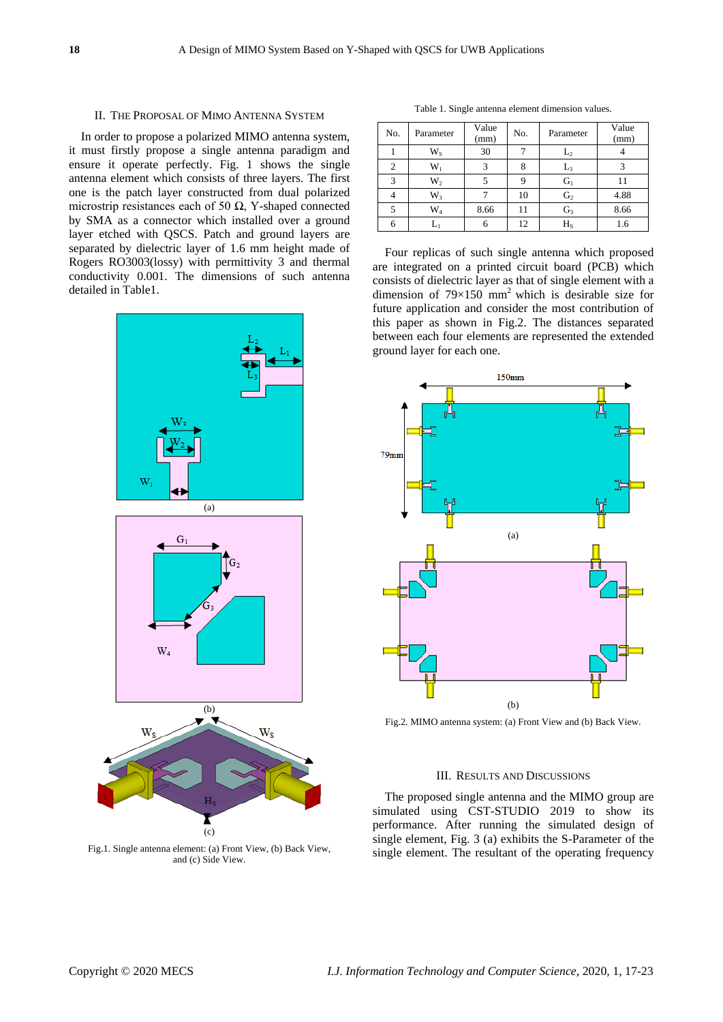#### II. THE PROPOSAL OF MIMO ANTENNA SYSTEM

In order to propose a polarized MIMO antenna system, it must firstly propose a single antenna paradigm and ensure it operate perfectly. Fig. 1 shows the single antenna element which consists of three layers. The first one is the patch layer constructed from dual polarized microstrip resistances each of 50  $\Omega$ , Y-shaped connected by SMA as a connector which installed over a ground layer etched with QSCS. Patch and ground layers are separated by dielectric layer of 1.6 mm height made of Rogers RO3003(lossy) with permittivity 3 and thermal conductivity 0.001. The dimensions of such antenna detailed in Table1.



Fig.1. Single antenna element: (a) Front View, (b) Back View, and (c) Side View.

Table 1. Single antenna element dimension values.

| No. | Parameter | Value<br>(mm) | No. | Parameter      | Value<br>(mm) |
|-----|-----------|---------------|-----|----------------|---------------|
|     | $W_{S}$   | 30            |     | $\mathbf{L}_2$ |               |
| 2   | $W_1$     |               | 8   | L,             |               |
| 3   | $W_2$     |               | 9   | $G_1$          |               |
|     | $W_3$     |               | 10  | G <sub>2</sub> | 4.88          |
| 5   | $\rm W_4$ | 8.66          | 11  | $G_3$          | 8.66          |
| 6   | $L_1$     | 6             | 12  | $H_S$          | 1.6           |

Four replicas of such single antenna which proposed are integrated on a printed circuit board (PCB) which consists of dielectric layer as that of single element with a dimension of  $79 \times 150$  mm<sup>2</sup> which is desirable size for future application and consider the most contribution of this paper as shown in Fig.2. The distances separated between each four elements are represented the extended ground layer for each one.



Fig.2. MIMO antenna system: (a) Front View and (b) Back View.

#### III. RESULTS AND DISCUSSIONS

The proposed single antenna and the MIMO group are simulated using CST-STUDIO 2019 to show its performance. After running the simulated design of single element, Fig. 3 (a) exhibits the S-Parameter of the single element. The resultant of the operating frequency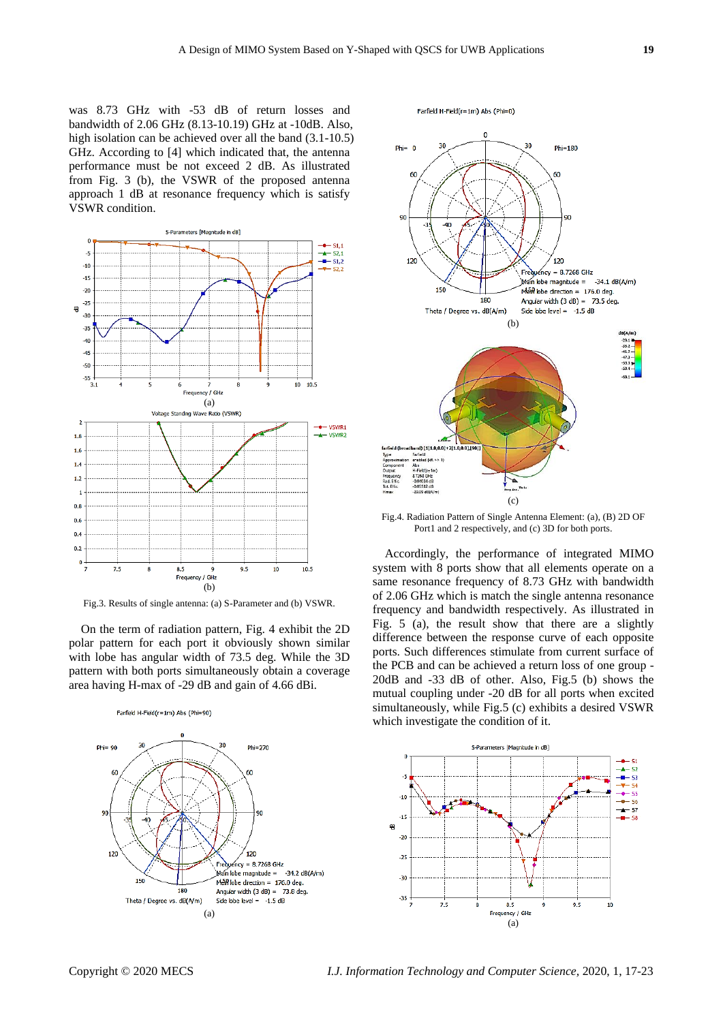was 8.73 GHz with -53 dB of return losses and bandwidth of 2.06 GHz (8.13-10.19) GHz at -10dB. Also, high isolation can be achieved over all the band  $(3.1-10.5)$ GHz. According to [4] which indicated that, the antenna performance must be not exceed 2 dB. As illustrated from Fig. 3 (b), the VSWR of the proposed antenna approach 1 dB at resonance frequency which is satisfy VSWR condition.



Fig.3. Results of single antenna: (a) S-Parameter and (b) VSWR.

On the term of radiation pattern, Fig. 4 exhibit the 2D polar pattern for each port it obviously shown similar with lobe has angular width of 73.5 deg. While the 3D pattern with both ports simultaneously obtain a coverage area having H-max of -29 dB and gain of 4.66 dBi.

Farfield H-Field(r=1m) Abs (Phi=90)

 $\overline{z}$ 20  $Phi = 90$  $Phi=270$ 6f εn  $\overline{Q}$ / 120<br>ncy = 8.7268 GHz<br>be magnitude = -34.2 dB(A/m)<br>be drection = 176.0 deg. 120  $120$  $Man lobe magnitude =$ 150  $M\overline{a}R$  lobe direction = 176.0 deg. Angular width  $(3 dB) = 73.8 deg$ . 180 Theta / Degree vs. dB(A/m) Side lobe level =  $-1.5$  dB (a)



Farfield H-Field(r=1m) Abs (Phi=0)

Fig.4. Radiation Pattern of Single Antenna Element: (a), (B) 2D OF Port1 and 2 respectively, and (c) 3D for both ports.

Accordingly, the performance of integrated MIMO system with 8 ports show that all elements operate on a same resonance frequency of 8.73 GHz with bandwidth of 2.06 GHz which is match the single antenna resonance frequency and bandwidth respectively. As illustrated in Fig. 5 (a), the result show that there are a slightly difference between the response curve of each opposite ports. Such differences stimulate from current surface of the PCB and can be achieved a return loss of one group - 20dB and -33 dB of other. Also, Fig.5 (b) shows the mutual coupling under -20 dB for all ports when excited simultaneously, while Fig.5 (c) exhibits a desired VSWR which investigate the condition of it.

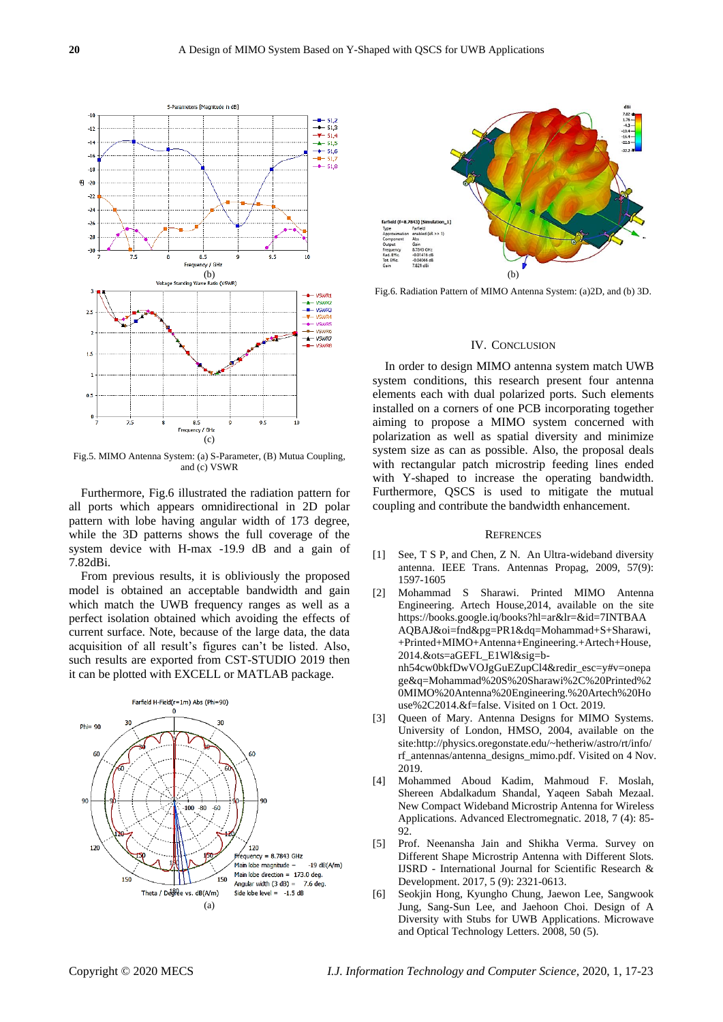

Fig.5. MIMO Antenna System: (a) S-Parameter, (B) Mutua Coupling, and (c) VSWR

Furthermore, Fig.6 illustrated the radiation pattern for all ports which appears omnidirectional in 2D polar pattern with lobe having angular width of 173 degree, while the 3D patterns shows the full coverage of the system device with H-max -19.9 dB and a gain of 7.82dBi.

From previous results, it is obliviously the proposed model is obtained an acceptable bandwidth and gain which match the UWB frequency ranges as well as a perfect isolation obtained which avoiding the effects of current surface. Note, because of the large data, the data acquisition of all result's figures can't be listed. Also, such results are exported from CST-STUDIO 2019 then it can be plotted with EXCELL or MATLAB package.





Fig.6. Radiation Pattern of MIMO Antenna System: (a)2D, and (b) 3D.

### IV. CONCLUSION

In order to design MIMO antenna system match UWB system conditions, this research present four antenna elements each with dual polarized ports. Such elements installed on a corners of one PCB incorporating together aiming to propose a MIMO system concerned with polarization as well as spatial diversity and minimize system size as can as possible. Also, the proposal deals with rectangular patch microstrip feeding lines ended with Y-shaped to increase the operating bandwidth. Furthermore, QSCS is used to mitigate the mutual coupling and contribute the bandwidth enhancement.

#### **REFRENCES**

- [1] See, T S P, and Chen, Z N. An Ultra-wideband diversity antenna. IEEE Trans. Antennas Propag, 2009, 57(9): 1597-1605
- [2] Mohammad S Sharawi. Printed MIMO Antenna Engineering. Artech House,2014, available on the site https://books.google.iq/books?hl=ar&lr=&id=7INTBAA AQBAJ&oi=fnd&pg=PR1&dq=Mohammad+S+Sharawi, +Printed+MIMO+Antenna+Engineering.+Artech+House, 2014.&ots=aGEFL\_E1Wl&sig=bnh54cw0bkfDwVOJgGuEZupCl4&redir\_esc=y#v=onepa ge&q=Mohammad%20S%20Sharawi%2C%20Printed%2 0MIMO%20Antenna%20Engineering.%20Artech%20Ho use%2C2014.&f=false. Visited on 1 Oct. 2019.
- Queen of Mary. Antenna Designs for MIMO Systems. University of London, HMSO, 2004, available on the site:http://physics.oregonstate.edu/~hetheriw/astro/rt/info/ rf\_antennas/antenna\_designs\_mimo.pdf. Visited on 4 Nov. 2019.
- [4] Mohammed Aboud Kadim, Mahmoud F. Moslah, Shereen Abdalkadum Shandal, Yaqeen Sabah Mezaal. New Compact Wideband Microstrip Antenna for Wireless Applications. Advanced Electromegnatic. 2018, 7 (4): 85- 92.
- [5] Prof. Neenansha Jain and Shikha Verma. Survey on Different Shape Microstrip Antenna with Different Slots. IJSRD - International Journal for Scientific Research & Development. 2017, 5 (9): 2321-0613.
- [6] Seokjin Hong, Kyungho Chung, Jaewon Lee, Sangwook Jung, Sang-Sun Lee, and Jaehoon Choi. Design of A Diversity with Stubs for UWB Applications. Microwave and Optical Technology Letters. 2008, 50 (5).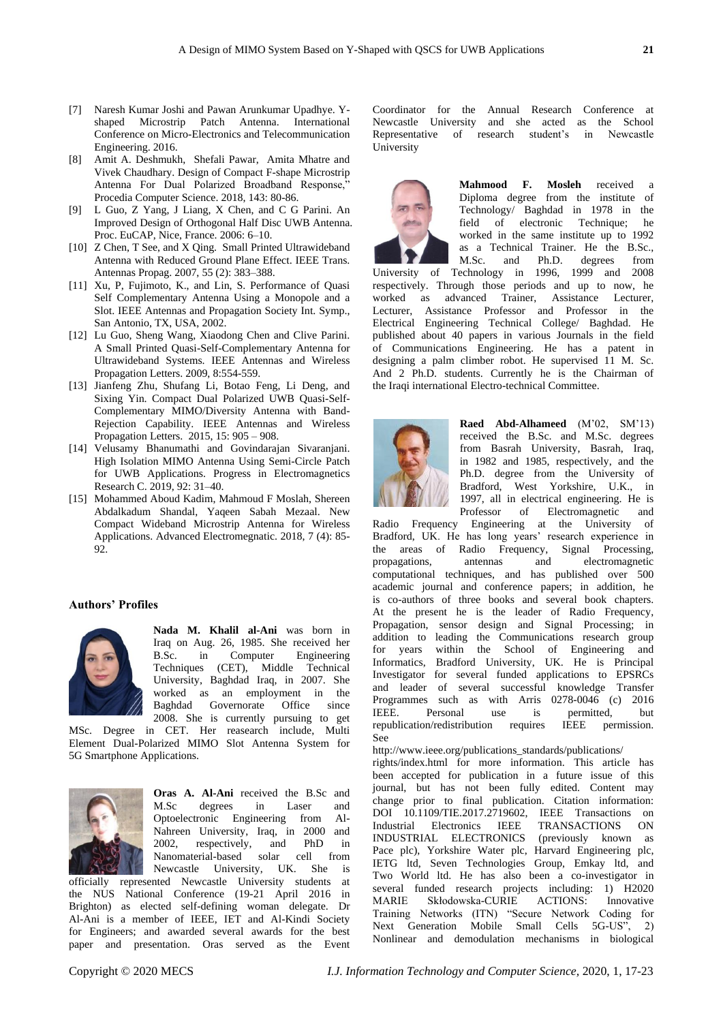- [7] Naresh Kumar Joshi and Pawan Arunkumar Upadhye. Yshaped Microstrip Patch Antenna. International Conference on Micro-Electronics and Telecommunication Engineering. 2016.
- [8] Amit A. Deshmukh, Shefali Pawar, Amita Mhatre and Vivek Chaudhary. Design of Compact F-shape Microstrip Antenna For Dual Polarized Broadband Response," Procedia Computer Science. 2018, 143: 80-86.
- [9] L Guo, Z Yang, J Liang, X Chen, and C G Parini. An Improved Design of Orthogonal Half Disc UWB Antenna. Proc. EuCAP, Nice, France. 2006: 6–10.
- [10] Z Chen, T See, and X Oing. Small Printed Ultrawideband Antenna with Reduced Ground Plane Effect. IEEE Trans. Antennas Propag. 2007, 55 (2): 383–388.
- [11] Xu, P, Fujimoto, K., and Lin, S. Performance of Quasi Self Complementary Antenna Using a Monopole and a Slot. IEEE Antennas and Propagation Society Int. Symp., San Antonio, TX, USA, 2002.
- [12] Lu Guo, Sheng Wang, Xiaodong Chen and Clive Parini. A Small Printed Quasi-Self-Complementary Antenna for Ultrawideband Systems. IEEE Antennas and Wireless Propagation Letters. 2009, 8:554-559.
- [13] Jianfeng Zhu, Shufang Li, Botao Feng, Li Deng, and Sixing Yin. Compact Dual Polarized UWB Quasi-Self-Complementary MIMO/Diversity Antenna with Band-Rejection Capability. IEEE Antennas and Wireless Propagation Letters. 2015, 15: 905 – 908.
- [14] Velusamy Bhanumathi and Govindarajan Sivaranjani. High Isolation MIMO Antenna Using Semi-Circle Patch for UWB Applications. Progress in Electromagnetics Research C. 2019, 92: 31–40.
- [15] Mohammed Aboud Kadim, Mahmoud F Moslah, Shereen Abdalkadum Shandal, Yaqeen Sabah Mezaal. New Compact Wideband Microstrip Antenna for Wireless Applications. Advanced Electromegnatic. 2018, 7 (4): 85- 92.

# **Authors' Profiles**



**Nada M. Khalil al-Ani** was born in Iraq on Aug. 26, 1985. She received her B.Sc. in Computer Engineering Techniques (CET), Middle Technical University, Baghdad Iraq, in 2007. She worked as an employment in the Baghdad Governorate Office since 2008. She is currently pursuing to get

MSc. Degree in CET. Her reasearch include, Multi Element Dual-Polarized MIMO Slot Antenna System for 5G Smartphone Applications.



**Oras A. Al-Ani** received the B.Sc and M.Sc degrees in Laser and Optoelectronic Engineering from Al-Nahreen University, Iraq, in 2000 and 2002, respectively, and PhD in Nanomaterial-based solar cell from Newcastle University, UK. She is

officially represented Newcastle University students at the NUS National Conference (19-21 April 2016 in Brighton) as elected self-defining woman delegate. Dr Al-Ani is a member of IEEE, IET and Al-Kindi Society for Engineers; and awarded several awards for the best paper and presentation. Oras served as the Event

Coordinator for the Annual Research Conference at Newcastle University and she acted as the School Representative of research student's in Newcastle University



**Mahmood F. Mosleh** received a Diploma degree from the institute of Technology/ Baghdad in 1978 in the field of electronic Technique; he worked in the same institute up to 1992 as a Technical Trainer. He the B.Sc., M.Sc. and Ph.D. degrees from

University of Technology in 1996, 1999 and 2008 respectively. Through those periods and up to now, he worked as advanced Trainer, Assistance Lecturer, Lecturer, Assistance Professor and Professor in the Electrical Engineering Technical College/ Baghdad. He published about 40 papers in various Journals in the field of Communications Engineering. He has a patent in designing a palm climber robot. He supervised 11 M. Sc. And 2 Ph.D. students. Currently he is the Chairman of the Iraqi international Electro-technical Committee.



**Raed Abd-Alhameed** (M'02, SM'13) received the B.Sc. and M.Sc. degrees from Basrah University, Basrah, Iraq, in 1982 and 1985, respectively, and the Ph.D. degree from the University of Bradford, West Yorkshire, U.K., in 1997, all in electrical engineering. He is Professor of Electromagnetic and

Radio Frequency Engineering at the University of Bradford, UK. He has long years' research experience in the areas of Radio Frequency, Signal Processing, propagations, antennas and electromagnetic computational techniques, and has published over 500 academic journal and conference papers; in addition, he is co-authors of three books and several book chapters. At the present he is the leader of Radio Frequency, Propagation, sensor design and Signal Processing; in addition to leading the Communications research group for years within the School of Engineering and Informatics, Bradford University, UK. He is Principal Investigator for several funded applications to EPSRCs and leader of several successful knowledge Transfer Programmes such as with Arris 0278-0046 (c) 2016 IEEE. Personal use is permitted, but republication/redistribution requires IEEE permission. See

http://www.ieee.org/publications\_standards/publications/

rights/index.html for more information. This article has been accepted for publication in a future issue of this journal, but has not been fully edited. Content may change prior to final publication. Citation information: DOI 10.1109/TIE.2017.2719602, IEEE Transactions on Industrial Electronics IEEE TRANSACTIONS ON INDUSTRIAL ELECTRONICS (previously known as Pace plc), Yorkshire Water plc, Harvard Engineering plc, IETG ltd, Seven Technologies Group, Emkay ltd, and Two World ltd. He has also been a co-investigator in several funded research projects including: 1) H2020 MARIE Skłodowska-CURIE ACTIONS: Innovative Training Networks (ITN) "Secure Network Coding for Next Generation Mobile Small Cells 5G-US", 2) Nonlinear and demodulation mechanisms in biological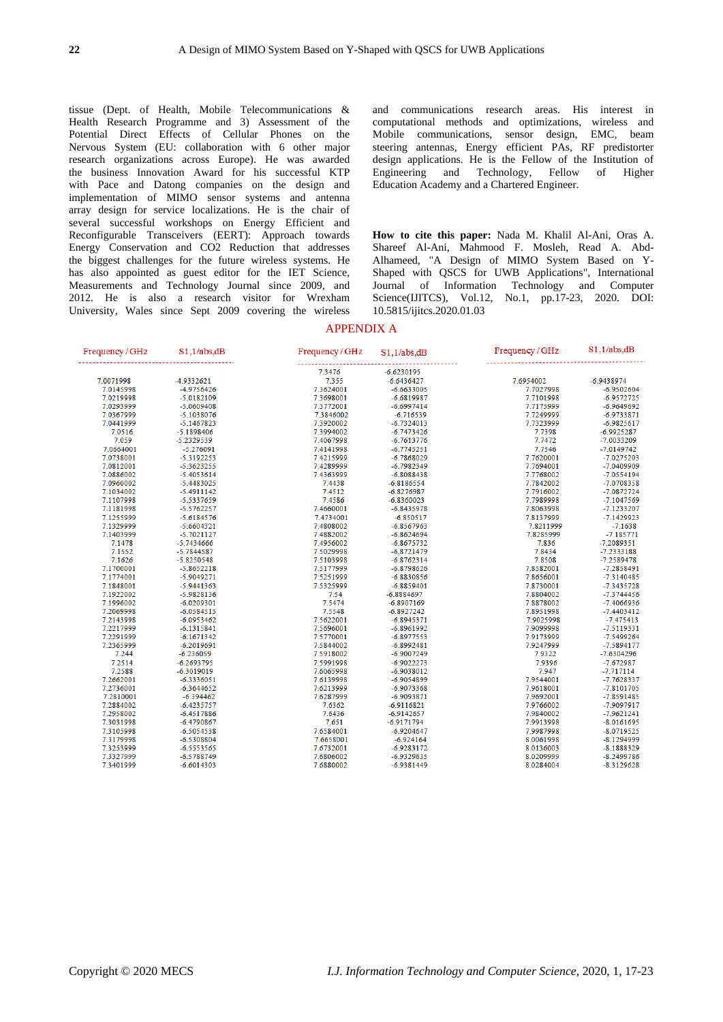tissue (Dept. of Health, Mobile Telecommunications & Health Research Programme and 3) Assessment of the Potential Direct Effects of Cellular Phones on the Nervous System (EU: collaboration with 6 other major research organizations across Europe). He was awarded the business Innovation Award for his successful KTP with Pace and Datong companies on the design and implementation of MIMO sensor systems and antenna array design for service localizations. He is the chair of several successful workshops on Energy Efficient and Reconfigurable Transceivers (EERT): Approach towards Energy Conservation and CO2 Reduction that addresses the biggest challenges for the future wireless systems. He has also appointed as guest editor for the IET Science, Measurements and Technology Journal since 2009, and 2012. He is also a research visitor for Wrexham University, Wales since Sept 2009 covering the wireless

and communications research areas. His interest in computational methods and optimizations, wireless and Mobile communications, sensor design, EMC, beam steering antennas, Energy efficient PAs, RF predistorter design applications. He is the Fellow of the Institution of Engineering and Technology, Fellow of Higher Education Academy and a Chartered Engineer.

**How to cite this paper:** Nada M. Khalil Al-Ani, Oras A. Shareef Al-Ani, Mahmood F. Mosleh, Read A. Abd-Alhameed, "A Design of MIMO System Based on Y-Shaped with QSCS for UWB Applications", International Journal of Information Technology and Computer Science(IJITCS), Vol.12, No.1, pp.17-23, 2020. DOI: 10.5815/ijitcs.2020.01.03

#### APPENDIX A

| Frequency / GHz | $S1,1/abs$ <sub>d</sub> $B$ | Frequency / GHz | S1,1/abs     | Frequency / GHz | $S1,1/abs$ ,dB |
|-----------------|-----------------------------|-----------------|--------------|-----------------|----------------|
|                 |                             | 7.3476          | $-6.6230195$ |                 |                |
| 7.0071998       | -4.9332621                  | 7.355           | $-6.6436427$ | 7.6954002       | $-6.9438974$   |
| 7.0145998       | -4.9756426                  | 7.3624001       | $-6.6633005$ | 7.7027998       | $-6.9502604$   |
| 7.0219998       | $-5.0182109$                | 7.3698001       | $-6.6819987$ | 7.7101998       | $-6.9572725$   |
| 7.0293999       | $-5.0609408$                | 7.3772001       | $-6.6997414$ | 7.7175999       | $-6.9649692$   |
| 7.0367999       | $-5.1038076$                | 7.3846002       | $-6.716539$  | 7.7249999       | $-6.9733871$   |
| 7.0441999       | $-5.1467823$                | 7.3920002       | $-6.7324013$ | 7.7323999       | $-6.9825617$   |
| 7.0516          | $-5.1898406$                | 7.3994002       | $-6.7473426$ | 7.7398          | $-6.9925287$   |
| 7.059           | $-5.2329539$                | 7.4067998       | $-6.7613776$ | 7.7472          | $-7.0033209$   |
| 7.0664001       | $-5.276091$                 | 7.4141998       | $-6.7745251$ | 7.7546          | $-7.0149742$   |
| 7.0738001       | $-5.3192253$                | 7.4215999       | $-6.7868029$ | 7.7620001       | $-7.0275203$   |
| 7.0812001       | $-5.3623255$                | 7.4289999       | $-6.7982349$ | 7.7694001       | $-7.0409909$   |
| 7.0886002       | $-5.4053614$                | 7.4363999       | $-6.8088438$ | 7.7768002       | $-7.0554194$   |
| 7.0960002       | $-5.4483025$                | 7.4438          | $-6.8186554$ | 7.7842002       | $-7.0708358$   |
| 7.1034002       | $-5.4911142$                | 7.4512          | $-6.8276987$ | 7.7916002       | $-7.0872724$   |
| 7.1107998       | $-5.5337659$                | 7.4586          | $-6.8360023$ | 7.7989998       | $-7.1047569$   |
| 7.1181998       | $-5.5762257$                | 7.4660001       | $-6.8435978$ | 7.8063998       | $-7.1233207$   |
| 7.1255999       | $-5.6184576$                | 7.4734001       | $-6.850517$  | 7.8137999       | $-7.1429923$   |
| 7.1329999       | $-5.6604321$                | 7.4808002       | $-6.8567963$ | 7.8211999       | $-7.1638$      |
| 7.1403999       | $-5.7021127$                | 7.4882002       | $-6.8624694$ | 7.8285999       | $-7.185771$    |
| 7.1478          | $-5.7434666$                | 7.4956002       | $-6.8675732$ | 7.836           | $-7.2089351$   |
| 7.1552          | $-5.7844587$                | 7.5029998       | $-6.8721479$ | 7.8434          | $-7.2333188$   |
| 7.1626          | $-5.8250548$                | 7.5103998       | $-6.8762314$ | 7.8508          | $-7.2589478$   |
| 7.1700001       | $-5.8652218$                | 7.5177999       | $-6.8798626$ | 7.8582001       | $-7.2858491$   |
| 7.1774001       | $-5.9049271$                | 7.5251999       | $-6.8830856$ | 7.8656001       | $-7.3140485$   |
| 7.1848001       | $-5.9441363$                | 7.5325999       | $-6.8859401$ | 7.8730001       | $-7.3435728$   |
| 7.1922002       | $-5.9828136$                | 7.54            | $-6.8884697$ | 7.8804002       | $-7.3744456$   |
| 7.1996002       | $-6.0209301$                | 7.5474          | $-6.8907169$ | 7.8878002       | $-7.4066936$   |
| 7.2069998       | $-6.0584515$                | 7.5548          | $-6.8927242$ | 7.8951998       | $-7.4403412$   |
| 7.2143998       | $-6.0953462$                | 7.5622001       | $-6.8945371$ | 7.9025998       | $-7.475413$    |
| 7.2217999       | $-6.1315841$                | 7.5696001       | $-6.8961992$ | 7.9099998       | $-7.5119331$   |
| 7.2291999       | $-6.1671342$                | 7.5770001       | $-6.8977553$ | 7.9173999       | $-7.5499264$   |
| 7.2365999       | $-6.2019691$                | 7.5844002       | $-6.8992481$ | 7.9247999       | $-7.5894177$   |
| 7.244           | $-6.236059$                 | 7.5918002       | $-6.9007249$ | 7.9322          | $-7.6304296$   |
| 7.2514          | $-6.2693795$                | 7.5991998       | $-6.9022273$ | 7.9396          | $-7.672987$    |
| 7.2588          | $-6.3019019$                | 7.6065998       | $-6.9038012$ | 7.947           | $-7.717114$    |
| 7.2662001       | $-6.3336051$                | 7.6139998       | $-6.9054899$ | 7.9544001       | $-7.7628337$   |
| 7.2736001       | $-6.3644652$                | 7.6213999       | $-6.9073368$ | 7.9618001       | $-7.8101705$   |
| 7.2810001       | $-6.394462$                 | 7.6287999       | $-6.9093871$ | 7.9692001       | $-7.8591485$   |
| 7.2884002       | $-6.4235757$                | 7.6362          | $-6.9116821$ | 7.9766002       | -7.9097917     |
| 7.2958002       | $-6.4517886$                | 7.6436          | $-6.9142657$ | 7.9840002       | $-7.9621241$   |
| 7.3031998       | $-6.4790867$                | 7.651           | $-6.9171794$ | 7.9913998       | $-8.0161695$   |
| 7.3105998       | $-6.5054538$                | 7.6584001       | $-6.9204647$ | 7.9987998       | $-8.0719525$   |
| 7.3179998       | $-6.5308804$                | 7.6658001       | $-6.924164$  | 8.0061998       | $-8.1294999$   |
| 7.3253999       | $-6.5553565$                | 7.6732001       | $-6.9283172$ | 8.0136003       | $-8.1888329$   |
| 7.3327999       | $-6.5788749$                | 7.6806002       | $-6.9329635$ | 8.0209999       | $-8.2499786$   |
| 7.3401999       | $-6.6014303$                | 7.6880002       | $-6.9381449$ | 8.0284004       | $-8.3129628$   |
|                 |                             |                 |              |                 |                |